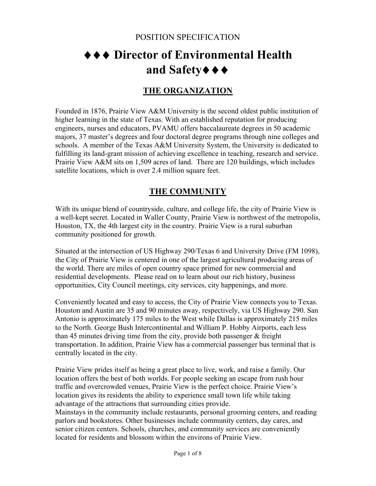# ♦♦♦ **Director of Environmental Health and Safety**♦♦♦

# **THE ORGANIZATION**

Founded in 1876, Prairie View A&M University is the second oldest public institution of higher learning in the state of Texas. With an established reputation for producing engineers, nurses and educators, PVAMU offers baccalaureate degrees in 50 academic majors, 37 master's degrees and four doctoral degree programs through nine colleges and schools. A member of the Texas A&M University System, the University is dedicated to fulfilling its land-grant mission of achieving excellence in teaching, research and service. Prairie View A&M sits on 1,509 acres of land. There are 120 buildings, which includes satellite locations, which is over 2.4 million square feet.

# **THE COMMUNITY**

With its unique blend of countryside, culture, and college life, the city of Prairie View is a well-kept secret. Located in Waller County, Prairie View is northwest of the metropolis, Houston, TX, the 4th largest city in the country. Prairie View is a rural suburban community positioned for growth.

Situated at the intersection of US Highway 290/Texas 6 and University Drive (FM 1098), the City of Prairie View is centered in one of the largest agricultural producing areas of the world. There are miles of open country space primed for new commercial and residential developments. Please read on to learn about our rich history, business opportunities, City Council meetings, city services, city happenings, and more.

Conveniently located and easy to access, the City of Prairie View connects you to Texas. Houston and Austin are 35 and 90 minutes away, respectively, via US Highway 290. San Antonio is approximately 175 miles to the West while Dallas is approximately 215 miles to the North. George Bush Intercontinental and William P. Hobby Airports, each less than 45 minutes driving time from the city, provide both passenger & freight transportation. In addition, Prairie View has a commercial passenger bus terminal that is centrally located in the city.

Prairie View prides itself as being a great place to live, work, and raise a family. Our location offers the best of both worlds. For people seeking an escape from rush hour traffic and overcrowded venues, Prairie View is the perfect choice. Prairie View's location gives its residents the ability to experience small town life while taking advantage of the attractions that surrounding cities provide.

Mainstays in the community include restaurants, personal grooming centers, and reading parlors and bookstores. Other businesses include community centers, day cares, and senior citizen centers. Schools, churches, and community services are conveniently located for residents and blossom within the environs of Prairie View.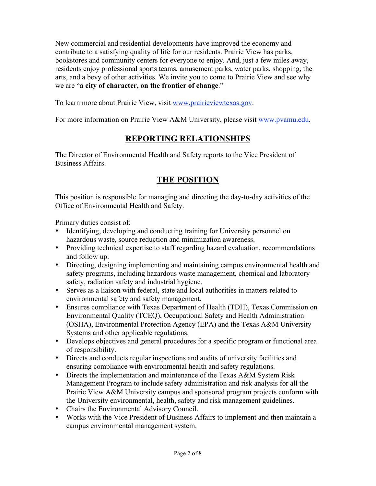New commercial and residential developments have improved the economy and contribute to a satisfying quality of life for our residents. Prairie View has parks, bookstores and community centers for everyone to enjoy. And, just a few miles away, residents enjoy professional sports teams, amusement parks, water parks, shopping, the arts, and a bevy of other activities. We invite you to come to Prairie View and see why we are "**a city of character, on the frontier of change**."

To learn more about Prairie View, visit www.prairieviewtexas.gov.

For more information on Prairie View A&M University, please visit www.pvamu.edu.

## **REPORTING RELATIONSHIPS**

The Director of Environmental Health and Safety reports to the Vice President of Business Affairs.

## **THE POSITION**

This position is responsible for managing and directing the day-to-day activities of the Office of Environmental Health and Safety.

Primary duties consist of:

- Identifying, developing and conducting training for University personnel on hazardous waste, source reduction and minimization awareness.
- Providing technical expertise to staff regarding hazard evaluation, recommendations and follow up.
- Directing, designing implementing and maintaining campus environmental health and safety programs, including hazardous waste management, chemical and laboratory safety, radiation safety and industrial hygiene.
- Serves as a liaison with federal, state and local authorities in matters related to environmental safety and safety management.
- Ensures compliance with Texas Department of Health (TDH), Texas Commission on Environmental Quality (TCEQ), Occupational Safety and Health Administration (OSHA), Environmental Protection Agency (EPA) and the Texas A&M University Systems and other applicable regulations.
- Develops objectives and general procedures for a specific program or functional area of responsibility.
- Directs and conducts regular inspections and audits of university facilities and ensuring compliance with environmental health and safety regulations.
- Directs the implementation and maintenance of the Texas A&M System Risk Management Program to include safety administration and risk analysis for all the Prairie View A&M University campus and sponsored program projects conform with the University environmental, health, safety and risk management guidelines.
- Chairs the Environmental Advisory Council.
- Works with the Vice President of Business Affairs to implement and then maintain a campus environmental management system.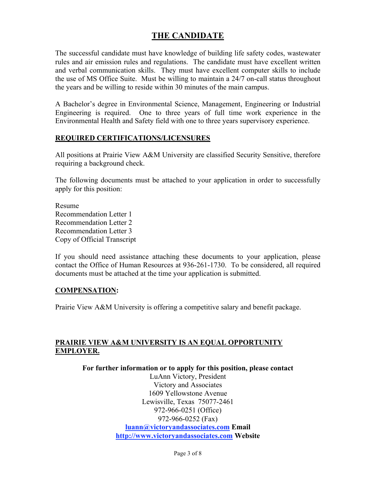### **THE CANDIDATE**

The successful candidate must have knowledge of building life safety codes, wastewater rules and air emission rules and regulations. The candidate must have excellent written and verbal communication skills. They must have excellent computer skills to include the use of MS Office Suite. Must be willing to maintain a 24/7 on-call status throughout the years and be willing to reside within 30 minutes of the main campus.

A Bachelor's degree in Environmental Science, Management, Engineering or Industrial Engineering is required. One to three years of full time work experience in the Environmental Health and Safety field with one to three years supervisory experience.

#### **REQUIRED CERTIFICATIONS/LICENSURES**

All positions at Prairie View A&M University are classified Security Sensitive, therefore requiring a background check.

The following documents must be attached to your application in order to successfully apply for this position:

Resume Recommendation Letter 1 Recommendation Letter 2 Recommendation Letter 3 Copy of Official Transcript

If you should need assistance attaching these documents to your application, please contact the Office of Human Resources at 936-261-1730. To be considered, all required documents must be attached at the time your application is submitted.

#### **COMPENSATION:**

Prairie View A&M University is offering a competitive salary and benefit package.

#### **PRAIRIE VIEW A&M UNIVERSITY IS AN EQUAL OPPORTUNITY EMPLOYER.**

**For further information or to apply for this position, please contact**

LuAnn Victory, President Victory and Associates 1609 Yellowstone Avenue Lewisville, Texas 75077-2461 972-966-0251 (Office) 972-966-0252 (Fax) **luann@victoryandassociates.com Email http://www.victoryandassociates.com Website**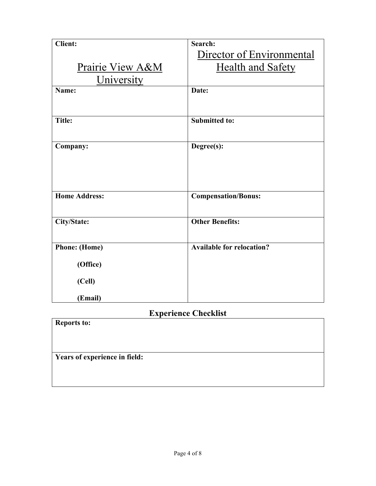| <b>Client:</b>       | Search:                          |
|----------------------|----------------------------------|
|                      | Director of Environmental        |
| Prairie View A&M     | <b>Health and Safety</b>         |
| University           |                                  |
| Name:                | Date:                            |
|                      |                                  |
|                      |                                  |
| <b>Title:</b>        | <b>Submitted to:</b>             |
|                      |                                  |
| Company:             | Degree(s):                       |
|                      |                                  |
|                      |                                  |
|                      |                                  |
| <b>Home Address:</b> |                                  |
|                      | <b>Compensation/Bonus:</b>       |
|                      |                                  |
| City/State:          | <b>Other Benefits:</b>           |
|                      |                                  |
| <b>Phone:</b> (Home) | <b>Available for relocation?</b> |
|                      |                                  |
| (Office)             |                                  |
| (Cell)               |                                  |
| (Email)              |                                  |

## **Experience Checklist**

| <b>Reports to:</b>            |  |
|-------------------------------|--|
|                               |  |
|                               |  |
| Years of experience in field: |  |
|                               |  |
|                               |  |
|                               |  |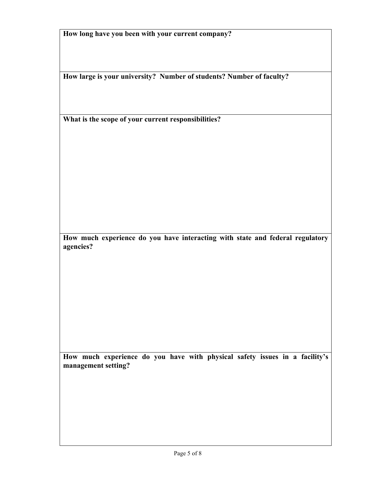|  |  |  | How long have you been with your current company? |
|--|--|--|---------------------------------------------------|
|  |  |  |                                                   |

**How large is your university? Number of students? Number of faculty?**

**What is the scope of your current responsibilities?** 

**How much experience do you have interacting with state and federal regulatory agencies?**

**How much experience do you have with physical safety issues in a facility's management setting?**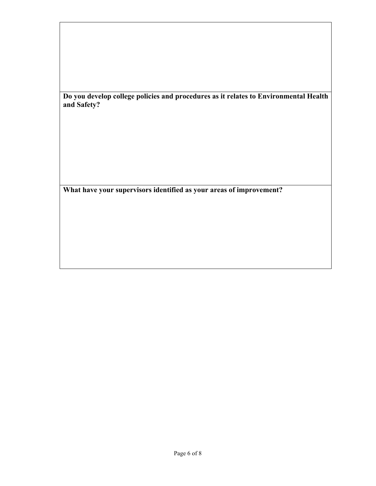**Do you develop college policies and procedures as it relates to Environmental Health and Safety?**

**What have your supervisors identified as your areas of improvement?**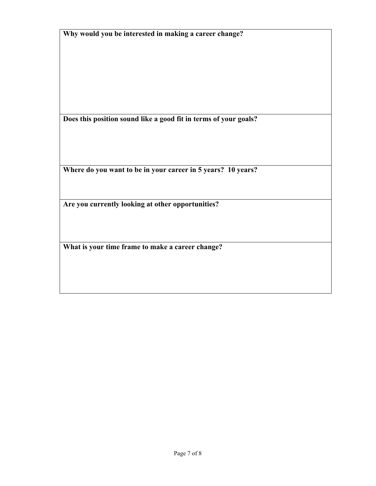|  | Why would you be interested in making a career change? |  |
|--|--------------------------------------------------------|--|
|  |                                                        |  |

**Does this position sound like a good fit in terms of your goals?**

**Where do you want to be in your career in 5 years? 10 years?**

**Are you currently looking at other opportunities?**

**What is your time frame to make a career change?**